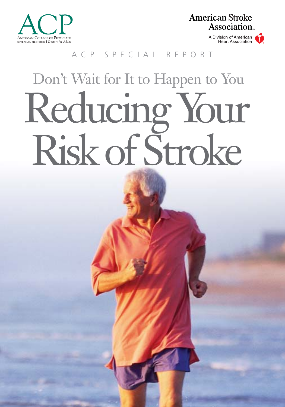

**American Stroke** Association.

> A Division of American **Heart Association**



# Don't Wait for It to Happen to You Reducing Your Risk of Stroke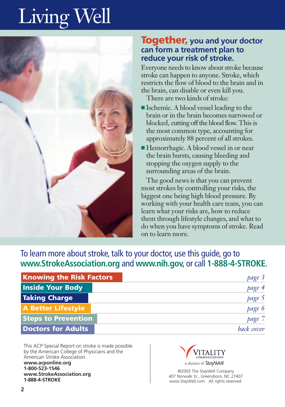# Living Well



#### **Together, you and your doctor can form a treatment plan to reduce your risk of stroke.**

Everyone needs to know about stroke because stroke can happen to anyone. Stroke, which restricts the flow of blood to the brain and in the brain, can disable or even kill you.

There are two kinds of stroke:

- Ischemic. A blood vessel leading to the brain or in the brain becomes narrowed or blocked, cutting off the blood flow. This is the most common type, accounting for approximately 88 percent of all strokes.
- Hemorrhagic. A blood vessel in or near the brain bursts, causing bleeding and stopping the oxygen supply to the surrounding areas of the brain.

The good news is that you can prevent most strokes by controlling your risks, the biggest one being high blood pressure. By working with your health care team, you can learn what your risks are, how to reduce them through lifestyle changes, and what to do when you have symptoms of stroke. Read on to learn more.

To learn more about stroke, talk to your doctor, use this guide, go to **www.StrokeAssociation.org** and **www.nih.gov,** or call **1-888-4-STROKE**.

| <b>Knowing the Risk Factors</b><br>page 3 |            |
|-------------------------------------------|------------|
| <b>Inside Your Body</b>                   | page 4     |
| <b>Taking Charge</b>                      | page 5     |
| <b>A Better Lifestyle</b>                 | page 6     |
| <b>Steps to Prevention</b>                | page 7     |
| <b>Doctors for Adults</b>                 | back cover |

This ACP Special Report on stroke is made possible by the American College of Physicians and the American Stroke Association. **www.acponline.org 1-800-523-1546 www.StrokeAssociation.org 1-888-4-STROKE**



©2003 The StayWell Company 407 Norwalk St., Greensboro, NC 27407 www.StayWell.com All rights reserved.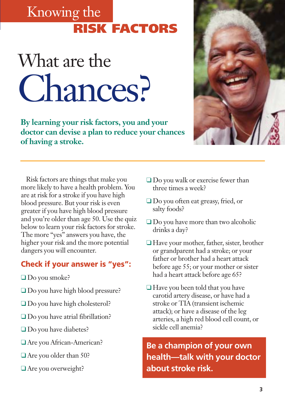# Knowing the **RISK FACTORS**

# What are the Chances?

**By learning your risk factors, you and your doctor can devise a plan to reduce your chances of having a stroke.**



Risk factors are things that make you more likely to have a health problem. You are at risk for a stroke if you have high blood pressure. But your risk is even greater if you have high blood pressure and you're older than age 50. Use the quiz below to learn your risk factors for stroke. The more "yes" answers you have, the higher your risk and the more potential dangers you will encounter.

#### **Check if your answer is "yes":**

- ❑ Do you smoke?
- ❑ Do you have high blood pressure?
- ❑ Do you have high cholesterol?
- ❑ Do you have atrial fibrillation?
- ❑ Do you have diabetes?
- ❑ Are you African-American?
- ❑ Are you older than 50?
- ❑ Are you overweight?
- □ Do you walk or exercise fewer than three times a week?
- ❑ Do you often eat greasy, fried, or salty foods?
- ❑ Do you have more than two alcoholic drinks a day?
- ❑ Have your mother, father, sister, brother or grandparent had a stroke; or your father or brother had a heart attack before age 55; or your mother or sister had a heart attack before age 65?
- ❑ Have you been told that you have carotid artery disease, or have had a stroke or TIA (transient ischemic attack); or have a disease of the leg arteries, a high red blood cell count, or sickle cell anemia?

**Be a champion of your own health—talk with your doctor about stroke risk.**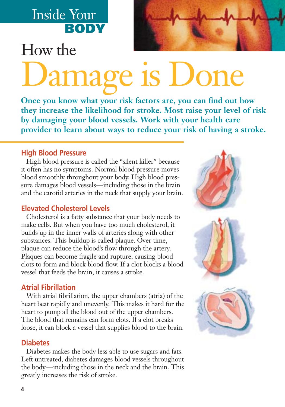## Inside Your **BODY**

# How the Damage is Done

**Once you know what your risk factors are, you can find out how they increase the likelihood for stroke. Most raise your level of risk by damaging your blood vessels. Work with your health care provider to learn about ways to reduce your risk of having a stroke.**

#### **High Blood Pressure**

High blood pressure is called the "silent killer" because it often has no symptoms. Normal blood pressure moves blood smoothly throughout your body. High blood pressure damages blood vessels—including those in the brain and the carotid arteries in the neck that supply your brain.

#### **Elevated Cholesterol Levels**

Cholesterol is a fatty substance that your body needs to make cells. But when you have too much cholesterol, it builds up in the inner walls of arteries along with other substances. This buildup is called plaque. Over time, plaque can reduce the blood's flow through the artery. Plaques can become fragile and rupture, causing blood clots to form and block blood flow. If a clot blocks a blood vessel that feeds the brain, it causes a stroke.

#### **Atrial Fibrillation**

With atrial fibrillation, the upper chambers (atria) of the heart beat rapidly and unevenly. This makes it hard for the heart to pump all the blood out of the upper chambers. The blood that remains can form clots. If a clot breaks loose, it can block a vessel that supplies blood to the brain.

#### **Diabetes**

Diabetes makes the body less able to use sugars and fats. Left untreated, diabetes damages blood vessels throughout the body—including those in the neck and the brain. This greatly increases the risk of stroke.

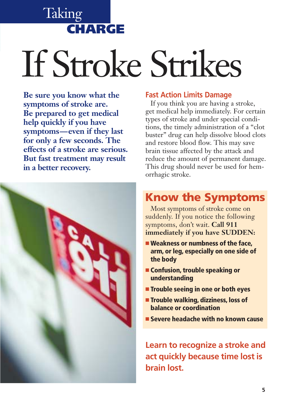

# If Stroke Strikes

**Be sure you know what the symptoms of stroke are. Be prepared to get medical help quickly if you have symptoms—even if they last for only a few seconds. The effects of a stroke are serious. But fast treatment may result in a better recovery.**



#### **Fast Action Limits Damage**

If you think you are having a stroke, get medical help immediately. For certain types of stroke and under special conditions, the timely administration of a "clot buster" drug can help dissolve blood clots and restore blood flow. This may save brain tissue affected by the attack and reduce the amount of permanent damage. This drug should never be used for hemorrhagic stroke.

## **Know the Symptoms**

Most symptoms of stroke come on suddenly. If you notice the following symptoms, don't wait. **Call 911 immediately if you have SUDDEN:**

- **Weakness or numbness of the face, arm, or leg, especially on one side of the body**
- **Confusion, trouble speaking or understanding**
- **Trouble seeing in one or both eyes**
- **Trouble walking, dizziness, loss of balance or coordination**
- **Severe headache with no known cause**

**Learn to recognize a stroke and act quickly because time lost is brain lost.**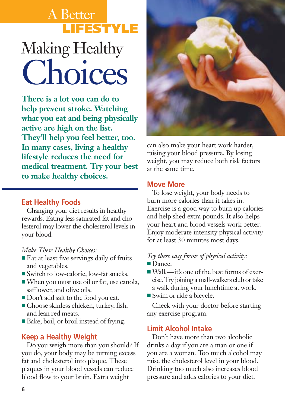# A Better **LIFESTYLE** Making Healthy Choices

**There is a lot you can do to help prevent stroke. Watching what you eat and being physically active are high on the list. They'll help you feel better, too. In many cases, living a healthy lifestyle reduces the need for medical treatment. Try your best to make healthy choices.** 

#### **Eat Healthy Foods**

Changing your diet results in healthy rewards. Eating less saturated fat and cholesterol may lower the cholesterol levels in your blood.

#### *Make These Healthy Choices:*

- Eat at least five servings daily of fruits and vegetables.
- Switch to low-calorie, low-fat snacks.
- When you must use oil or fat, use canola, safflower, and olive oils.
- Don't add salt to the food you eat.
- Choose skinless chicken, turkey, fish, and lean red meats.
- Bake, boil, or broil instead of frying.

#### **Keep a Healthy Weight**

Do you weigh more than you should? If you do, your body may be turning excess fat and cholesterol into plaque. These plaques in your blood vessels can reduce blood flow to your brain. Extra weight



can also make your heart work harder, raising your blood pressure. By losing weight, you may reduce both risk factors at the same time.

#### **Move More**

To lose weight, your body needs to burn more calories than it takes in. Exercise is a good way to burn up calories and help shed extra pounds. It also helps your heart and blood vessels work better. Enjoy moderate intensity physical activity for at least 30 minutes most days.

#### *Try these easy forms of physical activity:*

- ■Dance.
- Walk—it's one of the best forms of exercise. Try joining a mall-walkers club or take a walk during your lunchtime at work.
- Swim or ride a bicycle.

Check with your doctor before starting any exercise program.

#### **Limit Alcohol Intake**

Don't have more than two alcoholic drinks a day if you are a man or one if you are a woman. Too much alcohol may raise the cholesterol level in your blood. Drinking too much also increases blood pressure and adds calories to your diet.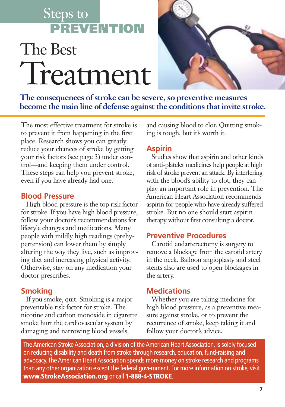## Steps to **PREVENTI**

# The Best Treatment



**The consequences of stroke can be severe, so preventive measures become the main line of defense against the conditions that invite stroke.**

The most effective treatment for stroke is to prevent it from happening in the first place. Research shows you can greatly reduce your chances of stroke by getting your risk factors (see page 3) under control—and keeping them under control. These steps can help you prevent stroke, even if you have already had one.

#### **Blood Pressure**

High blood pressure is the top risk factor for stroke. If you have high blood pressure, follow your doctor's recommendations for lifestyle changes and medications. Many people with mildly high readings (prehypertension) can lower them by simply altering the way they live, such as improving diet and increasing physical activity. Otherwise, stay on any medication your doctor prescribes.

#### **Smoking**

If you smoke, quit. Smoking is a major preventable risk factor for stroke. The nicotine and carbon monoxide in cigarette smoke hurt the cardiovascular system by damaging and narrowing blood vessels,

and causing blood to clot. Quitting smoking is tough, but it's worth it.

#### **Aspirin**

Studies show that aspirin and other kinds of anti-platelet medicines help people at high risk of stroke prevent an attack. By interfering with the blood's ability to clot, they can play an important role in prevention. The American Heart Association recommends aspirin for people who have already suffered stroke. But no one should start aspirin therapy without first consulting a doctor.

#### **Preventive Procedures**

Carotid endarterectomy is surgery to remove a blockage from the carotid artery in the neck. Balloon angioplasty and steel stents also are used to open blockages in the artery.

#### **Medications**

Whether you are taking medicine for high blood pressure, as a preventive measure against stroke, or to prevent the recurrence of stroke, keep taking it and follow your doctor's advice.

The American Stroke Association, a division of the American Heart Association, is solely focused on reducing disability and death from stroke through research, education, fund-raising and advocacy.The American Heart Association spends more money on stroke research and programs than any other organization except the federal government. For more information on stroke, visit **www.StrokeAssociation.org** or call **1-888-4-STROKE**.